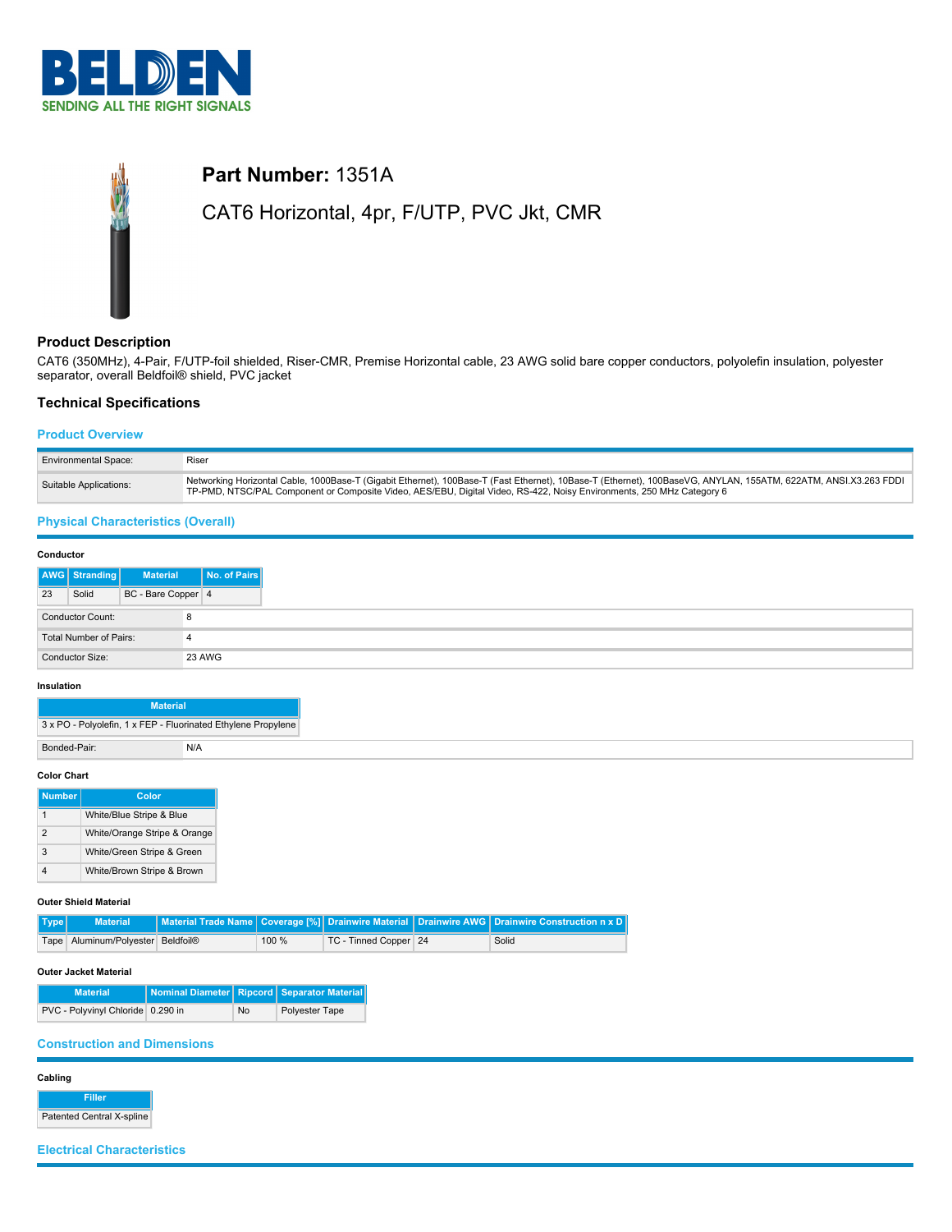

# **Part Number:** 1351A CAT6 Horizontal, 4pr, F/UTP, PVC Jkt, CMR

## **Product Description**

CAT6 (350MHz), 4-Pair, F/UTP-foil shielded, Riser-CMR, Premise Horizontal cable, 23 AWG solid bare copper conductors, polyolefin insulation, polyester separator, overall Beldfoil® shield, PVC jacket

## **Technical Specifications**

#### **Product Overview**

| <b>Environmental Space:</b> | Riser                                                                                                                                                                                                                                                                                    |
|-----------------------------|------------------------------------------------------------------------------------------------------------------------------------------------------------------------------------------------------------------------------------------------------------------------------------------|
| Suitable Applications:      | Networking Horizontal Cable, 1000Base-T (Gigabit Ethernet), 100Base-T (Fast Ethernet), 10Base-T (Ethernet), 100BaseVG, ANYLAN, 155ATM, 622ATM, ANSI.X3.263 FDDI<br>TP-PMD, NTSC/PAL Component or Composite Video, AES/EBU, Digital Video, RS-422, Noisy Environments, 250 MHz Category 6 |

## **Physical Characteristics (Overall)**

| Conductor |                        |                    |              |
|-----------|------------------------|--------------------|--------------|
|           | AWG Stranding          | <b>Material</b>    | No. of Pairs |
| 23        | Solid                  | BC - Bare Copper 4 |              |
|           | Conductor Count:       |                    | 8            |
|           | Total Number of Pairs: |                    | 4            |
|           | Conductor Size:        |                    | 23 AWG       |

#### **Insulation**

| <b>Material</b> |                                                               |
|-----------------|---------------------------------------------------------------|
|                 | 3 x PO - Polyolefin, 1 x FEP - Fluorinated Ethylene Propylene |
| Bonded-Pair:    | N/A                                                           |
|                 |                                                               |

#### **Color Chart**

| <b>Number</b>  | Color                        |
|----------------|------------------------------|
|                | White/Blue Stripe & Blue     |
| $\mathfrak{p}$ | White/Orange Stripe & Orange |
| 3              | White/Green Stripe & Green   |
|                | White/Brown Stripe & Brown   |

#### **Outer Shield Material**

| $ $ Type $ $ | <b>Material</b>                   |       |                       | Material Trade Name   Coverage [%]   Drainwire Material   Drainwire AWG   Drainwire Construction n x D |
|--------------|-----------------------------------|-------|-----------------------|--------------------------------------------------------------------------------------------------------|
|              | Tape Aluminum/Polvester Beldfoil® | 100 % | TC - Tinned Copper 24 | Solid                                                                                                  |

#### **Outer Jacket Material**

| <b>Material</b>                   | Nominal Diameter   Ripcord   Separator Material |    |                |
|-----------------------------------|-------------------------------------------------|----|----------------|
| PVC - Polyvinyl Chloride 0.290 in |                                                 | No | Polyester Tape |

## **Construction and Dimensions**

**Cabling**

**Filler** Patented Central X-spline

**Electrical Characteristics**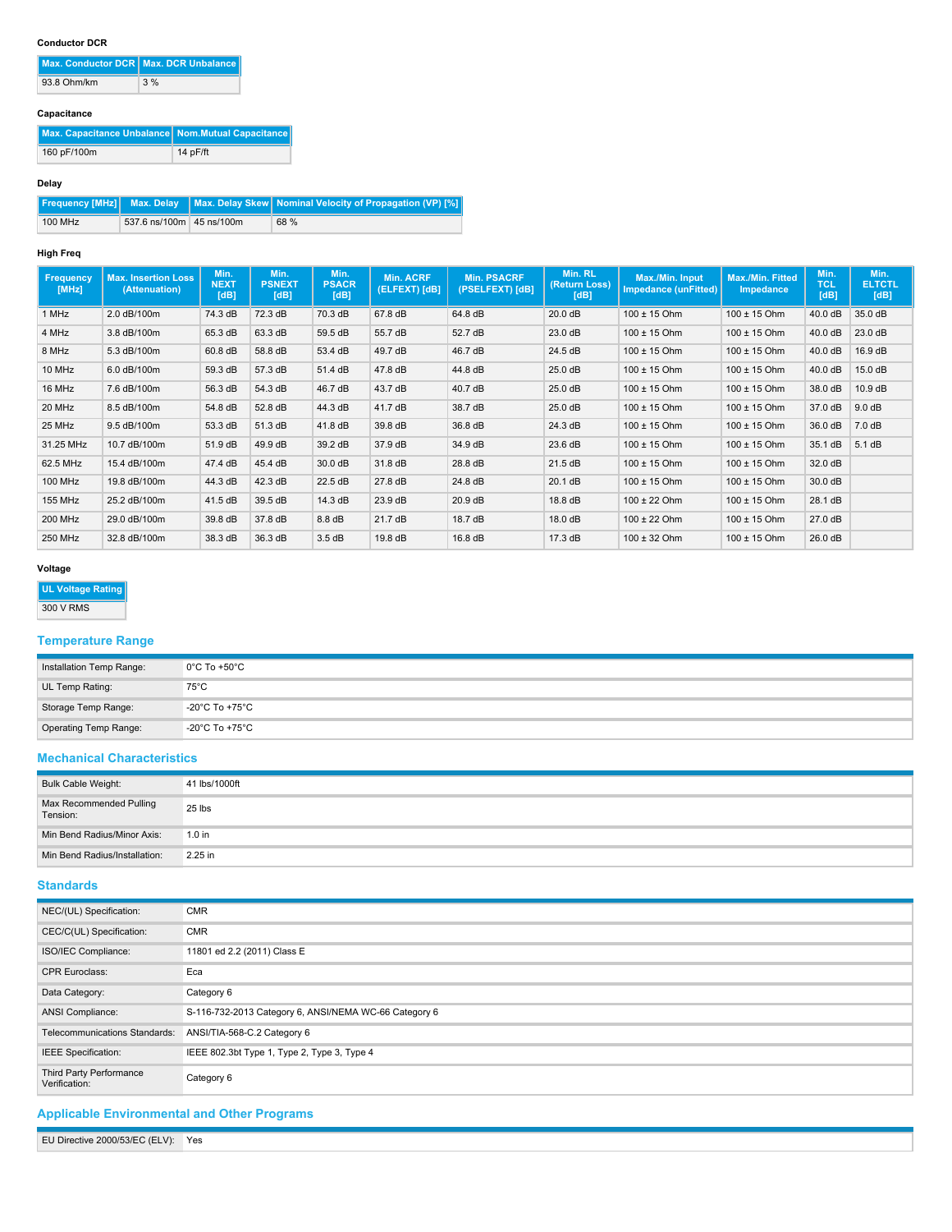### **Conductor DCR**

|             | Max. Conductor DCR   Max. DCR Unbalance |
|-------------|-----------------------------------------|
| 93.8 Ohm/km | 3%                                      |

#### **Capacitance**

| Max. Capacitance Unbalance   Nom. Mutual Capacitance |            |
|------------------------------------------------------|------------|
| 160 pF/100m                                          | $14p$ F/ft |

#### **Delay**

|         |                            | Frequency [MHz]   Max. Delay   Max. Delay Skew   Nominal Velocity of Propagation (VP) [%] |
|---------|----------------------------|-------------------------------------------------------------------------------------------|
| 100 MHz | 537.6 ns/100m   45 ns/100m | 68 %                                                                                      |

#### **High Freq**

| Frequency<br>[MHz] | <b>Max. Insertion Loss</b><br>(Attenuation) | Min.<br><b>NEXT</b><br>[dB] | Min.<br><b>PSNEXT</b><br>[dB] | Min.<br><b>PSACR</b><br>[dB] | <b>Min. ACRF</b><br>(ELFEXT) [dB] | <b>Min. PSACRF</b><br>(PSELFEXT) [dB] | Min. RL<br>(Return Loss)<br>[dB] | Max./Min. Input<br>Impedance (unFitted) | Max./Min. Fitted<br><b>Impedance</b> | Min.<br><b>TCL</b><br>[dB] | Min.<br><b>ELTCTL</b><br>[dB] |
|--------------------|---------------------------------------------|-----------------------------|-------------------------------|------------------------------|-----------------------------------|---------------------------------------|----------------------------------|-----------------------------------------|--------------------------------------|----------------------------|-------------------------------|
| 1 MHz              | 2.0 dB/100m                                 | 74.3 dB                     | 72.3 dB                       | 70.3 dB                      | 67.8 dB                           | 64.8 dB                               | 20.0 dB                          | $100 \pm 15$ Ohm                        | $100 \pm 15$ Ohm                     | 40.0 dB                    | 35.0 dB                       |
| 4 MHz              | 3.8 dB/100m                                 | 65.3 dB                     | 63.3 dB                       | 59.5 dB                      | 55.7 dB                           | 52.7 dB                               | 23.0 dB                          | $100 \pm 15$ Ohm                        | $100 \pm 15$ Ohm                     | 40.0 dB                    | 23.0 dB                       |
| 8 MHz              | 5.3 dB/100m                                 | 60.8 dB                     | 58.8 dB                       | 53.4 dB                      | 49.7 dB                           | 46.7 dB                               | 24.5 dB                          | $100 \pm 15$ Ohm                        | $100 \pm 15$ Ohm                     | 40.0 dB                    | 16.9 dB                       |
| 10 MHz             | 6.0 dB/100m                                 | 59.3 dB                     | 57.3 dB                       | 51.4 dB                      | 47.8 dB                           | 44.8 dB                               | 25.0 dB                          | $100 \pm 15$ Ohm                        | $100 \pm 15$ Ohm                     | 40.0 dB                    | 15.0 dB                       |
| 16 MHz             | 7.6 dB/100m                                 | 56.3 dB                     | 54.3 dB                       | 46.7 dB                      | 43.7 dB                           | 40.7 dB                               | 25.0 dB                          | $100 \pm 15$ Ohm                        | $100 \pm 15$ Ohm                     | 38.0 dB                    | 10.9 dB                       |
| 20 MHz             | 8.5 dB/100m                                 | 54.8 dB                     | 52.8 dB                       | 44.3 dB                      | 41.7 dB                           | 38.7 dB                               | 25.0 dB                          | $100 \pm 15$ Ohm                        | $100 \pm 15$ Ohm                     | 37.0 dB                    | 9.0 dB                        |
| 25 MHz             | 9.5 dB/100m                                 | 53.3 dB                     | 51.3 dB                       | 41.8 dB                      | 39.8 dB                           | 36.8 dB                               | 24.3 dB                          | $100 \pm 15$ Ohm                        | $100 \pm 15$ Ohm                     | 36.0 dB                    | 7.0 dB                        |
| 31.25 MHz          | 10.7 dB/100m                                | 51.9 dB                     | 49.9 dB                       | 39.2 dB                      | 37.9 dB                           | 34.9 dB                               | 23.6 dB                          | $100 \pm 15$ Ohm                        | $100 \pm 15$ Ohm                     | 35.1 dB                    | 5.1dB                         |
| 62.5 MHz           | 15.4 dB/100m                                | 47.4 dB                     | 45.4 dB                       | 30.0 dB                      | 31.8 dB                           | 28.8 dB                               | 21.5 dB                          | $100 \pm 15$ Ohm                        | $100 \pm 15$ Ohm                     | 32.0 dB                    |                               |
| 100 MHz            | 19.8 dB/100m                                | 44.3 dB                     | 42.3 dB                       | 22.5 dB                      | 27.8 dB                           | 24.8 dB                               | 20.1 dB                          | $100 \pm 15$ Ohm                        | $100 \pm 15$ Ohm                     | 30.0 dB                    |                               |
| 155 MHz            | 25.2 dB/100m                                | 41.5 dB                     | 39.5 dB                       | 14.3 dB                      | 23.9 dB                           | $20.9$ dB                             | 18.8 dB                          | $100 \pm 22$ Ohm                        | $100 \pm 15$ Ohm                     | 28.1 dB                    |                               |
| <b>200 MHz</b>     | 29.0 dB/100m                                | 39.8 dB                     | 37.8 dB                       | 8.8 dB                       | 21.7 dB                           | 18.7 dB                               | 18.0 dB                          | $100 \pm 22$ Ohm                        | $100 \pm 15$ Ohm                     | 27.0 dB                    |                               |
| 250 MHz            | 32.8 dB/100m                                | 38.3 dB                     | 36.3 dB                       | 3.5dB                        | 19.8 dB                           | 16.8 dB                               | 17.3 dB                          | $100 \pm 32$ Ohm                        | $100 \pm 15$ Ohm                     | 26.0 dB                    |                               |

## **Voltage**

## **UL Voltage Rating**

300 V RMS

## **Temperature Range**

| Installation Temp Range: | $0^{\circ}$ C To +50 $^{\circ}$ C |
|--------------------------|-----------------------------------|
| UL Temp Rating:          | $75^{\circ}$ C                    |
| Storage Temp Range:      | -20°C To +75°C                    |
| Operating Temp Range:    | -20°C To +75°C                    |

## **Mechanical Characteristics**

| Bulk Cable Weight:                  | 41 lbs/1000ft |
|-------------------------------------|---------------|
| Max Recommended Pulling<br>Tension: | 25 lbs        |
| Min Bend Radius/Minor Axis:         | $1.0$ in      |
| Min Bend Radius/Installation:       | 2.25 in       |

## **Standards**

| NEC/(UL) Specification:                  | <b>CMR</b>                                            |
|------------------------------------------|-------------------------------------------------------|
| CEC/C(UL) Specification:                 | <b>CMR</b>                                            |
| ISO/IEC Compliance:                      | 11801 ed 2.2 (2011) Class E                           |
| <b>CPR Euroclass:</b>                    | Eca                                                   |
| Data Category:                           | Category 6                                            |
| ANSI Compliance:                         | S-116-732-2013 Category 6, ANSI/NEMA WC-66 Category 6 |
| Telecommunications Standards:            | ANSI/TIA-568-C.2 Category 6                           |
| IEEE Specification:                      | IEEE 802.3bt Type 1, Type 2, Type 3, Type 4           |
| Third Party Performance<br>Verification: | Category 6                                            |

## **Applicable Environmental and Other Programs**

EU Directive 2000/53/EC (ELV): Yes